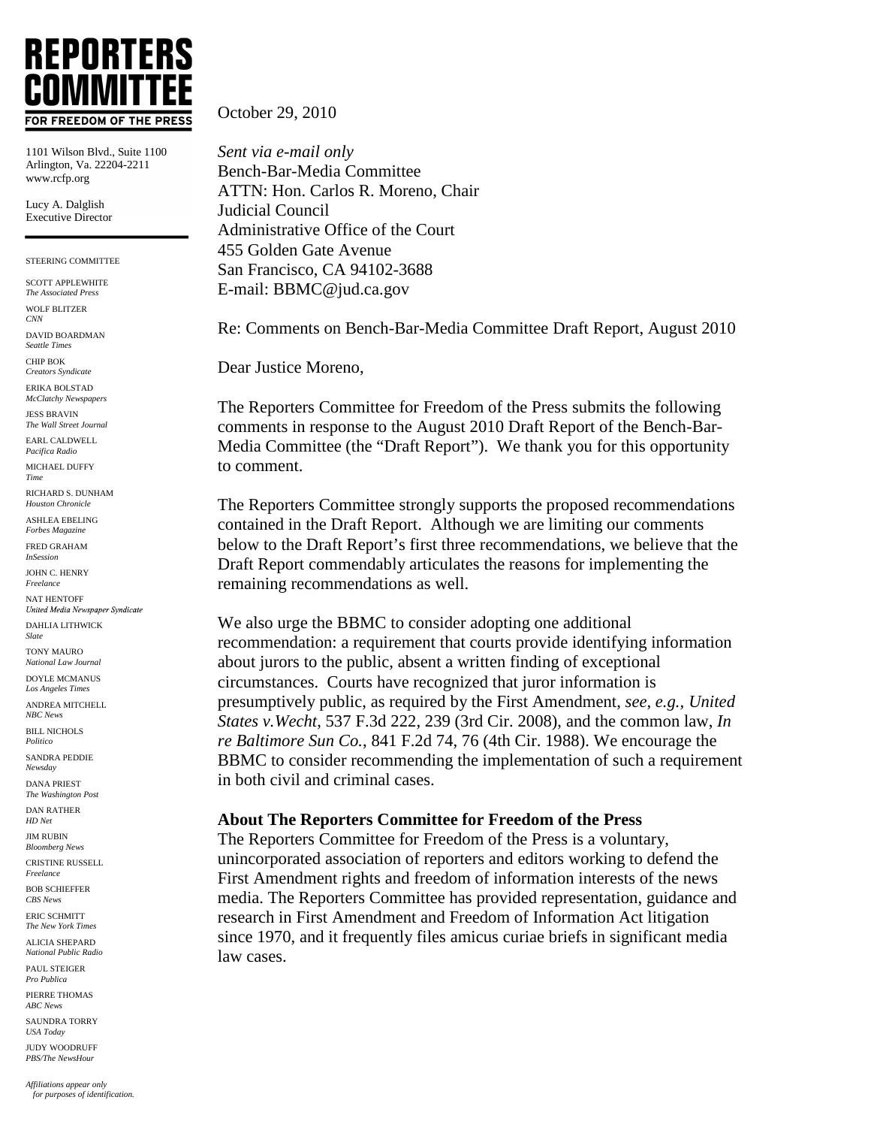# **REPORTERS** COMMIT1 FOR FREEDOM OF THE PRESS

1101 Wilson Blvd., Suite 1100 Arlington, Va. 22204-2211 www.rcfp.org

Lucy A. Dalglish Executive Director

STEERING COMMITTEE

SCOTT APPLEWHITE *The Associated Press*  WOLF BLITZER *CNN*  DAVID BOARDMAN *Seattle Times*  CHIP BOK *Creators Syndicate* 

ERIKA BOLSTAD *McClatchy Newspapers*

JESS BRAVIN *The Wall Street Journal* 

EARL CALDWELL *Pacifica Radio*

MICHAEL DUFFY *Time* 

RICHARD S. DUNHAM *Houston Chronicle*

ASHLEA EBELING *Forbes Magazine*

FRED GRAHAM *InSession*

JOHN C. HENRY *Freelance*

NAT HENTOFF<br>United Media Newspaper Syndicate DAHLIA LITHWICK

*Slate*  TONY MAURO

*National Law Journal* DOYLE MCMANUS

*Los Angeles Times* ANDREA MITCHELL

*NBC News*

BILL NICHOLS *Politico*

SANDRA PEDDIE *Newsday*

DANA PRIEST *The Washington Post* 

DAN RATHER *HD Net*

JIM RUBIN *Bloomberg News*

CRISTINE RUSSELL *Freelance*

BOB SCHIEFFER *CBS News* 

ERIC SCHMITT *The New York Times* 

ALICIA SHEPARD *National Public Radio*

PAUL STEIGER *Pro Publica*

PIERRE THOMAS *ABC News*

SAUNDRA TORRY *USA Today* 

JUDY WOODRUFF *PBS/The NewsHour* 

October 29, 2010

*Sent via e-mail only* Bench-Bar-Media Committee ATTN: Hon. Carlos R. Moreno, Chair Judicial Council Administrative Office of the Court 455 Golden Gate Avenue San Francisco, CA 94102-3688 E-mail: BBMC@jud.ca.gov

Re: Comments on Bench-Bar-Media Committee Draft Report, August 2010

Dear Justice Moreno,

The Reporters Committee for Freedom of the Press submits the following comments in response to the August 2010 Draft Report of the Bench-Bar-Media Committee (the "Draft Report"). We thank you for this opportunity to comment.

The Reporters Committee strongly supports the proposed recommendations contained in the Draft Report. Although we are limiting our comments below to the Draft Report's first three recommendations, we believe that the Draft Report commendably articulates the reasons for implementing the remaining recommendations as well.

We also urge the BBMC to consider adopting one additional recommendation: a requirement that courts provide identifying information about jurors to the public, absent a written finding of exceptional circumstances. Courts have recognized that juror information is presumptively public, as required by the First Amendment, *see, e.g., United States v.Wecht*, 537 F.3d 222, 239 (3rd Cir. 2008), and the common law, *In re Baltimore Sun Co.*, 841 F.2d 74, 76 (4th Cir. 1988). We encourage the BBMC to consider recommending the implementation of such a requirement in both civil and criminal cases.

#### **About The Reporters Committee for Freedom of the Press**

The Reporters Committee for Freedom of the Press is a voluntary, unincorporated association of reporters and editors working to defend the First Amendment rights and freedom of information interests of the news media. The Reporters Committee has provided representation, guidance and research in First Amendment and Freedom of Information Act litigation since 1970, and it frequently files amicus curiae briefs in significant media law cases.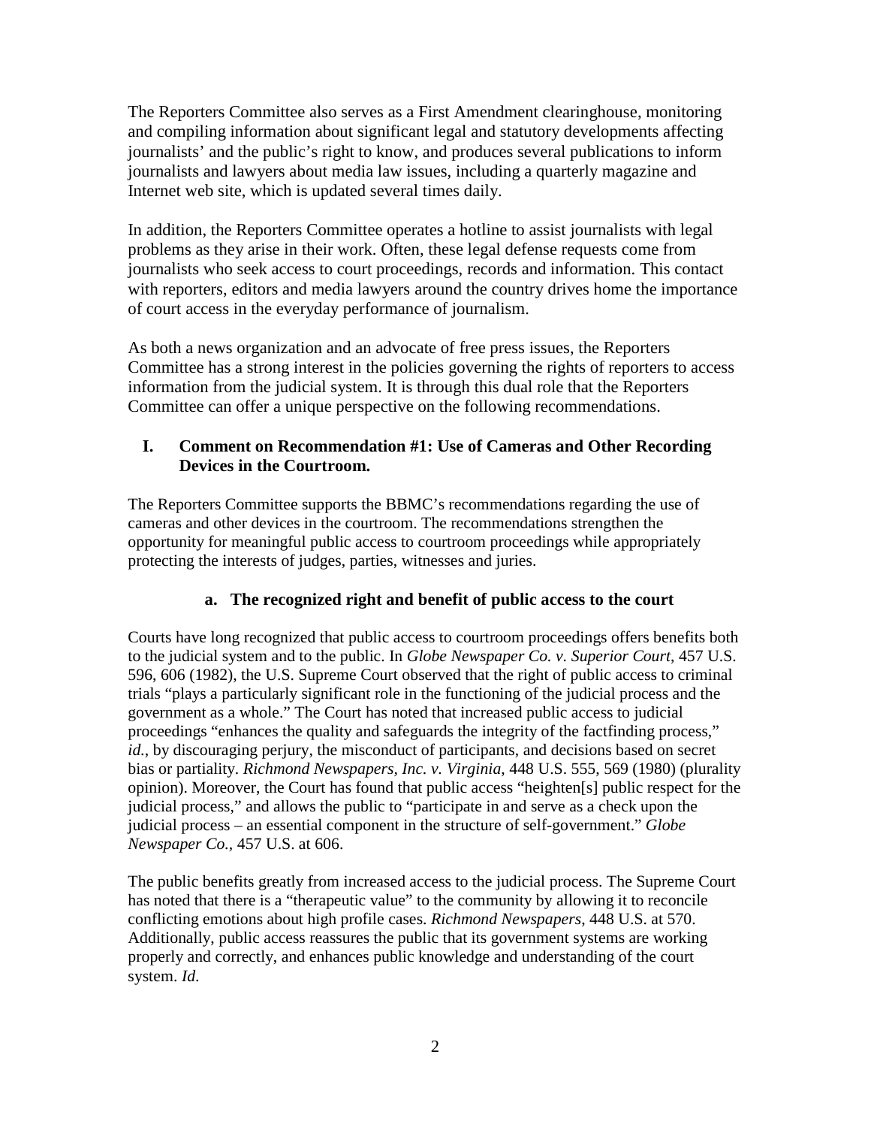The Reporters Committee also serves as a First Amendment clearinghouse, monitoring and compiling information about significant legal and statutory developments affecting journalists' and the public's right to know, and produces several publications to inform journalists and lawyers about media law issues, including a quarterly magazine and Internet web site, which is updated several times daily.

In addition, the Reporters Committee operates a hotline to assist journalists with legal problems as they arise in their work. Often, these legal defense requests come from journalists who seek access to court proceedings, records and information. This contact with reporters, editors and media lawyers around the country drives home the importance of court access in the everyday performance of journalism.

As both a news organization and an advocate of free press issues, the Reporters Committee has a strong interest in the policies governing the rights of reporters to access information from the judicial system. It is through this dual role that the Reporters Committee can offer a unique perspective on the following recommendations.

## **I. Comment on Recommendation #1: Use of Cameras and Other Recording Devices in the Courtroom.**

The Reporters Committee supports the BBMC's recommendations regarding the use of cameras and other devices in the courtroom. The recommendations strengthen the opportunity for meaningful public access to courtroom proceedings while appropriately protecting the interests of judges, parties, witnesses and juries.

## **a. The recognized right and benefit of public access to the court**

Courts have long recognized that public access to courtroom proceedings offers benefits both to the judicial system and to the public. In *Globe Newspaper Co. v. Superior Court*, 457 U.S. 596, 606 (1982), the U.S. Supreme Court observed that the right of public access to criminal trials "plays a particularly significant role in the functioning of the judicial process and the government as a whole." The Court has noted that increased public access to judicial proceedings "enhances the quality and safeguards the integrity of the factfinding process," *id.*, by discouraging perjury, the misconduct of participants, and decisions based on secret bias or partiality. *Richmond Newspapers, Inc. v. Virginia*, 448 U.S. 555, 569 (1980) (plurality opinion). Moreover, the Court has found that public access "heighten[s] public respect for the judicial process," and allows the public to "participate in and serve as a check upon the judicial process – an essential component in the structure of self-government." *Globe Newspaper Co.,* 457 U.S. at 606.

The public benefits greatly from increased access to the judicial process. The Supreme Court has noted that there is a "therapeutic value" to the community by allowing it to reconcile conflicting emotions about high profile cases. *Richmond Newspapers*, 448 U.S. at 570. Additionally, public access reassures the public that its government systems are working properly and correctly, and enhances public knowledge and understanding of the court system. *Id*.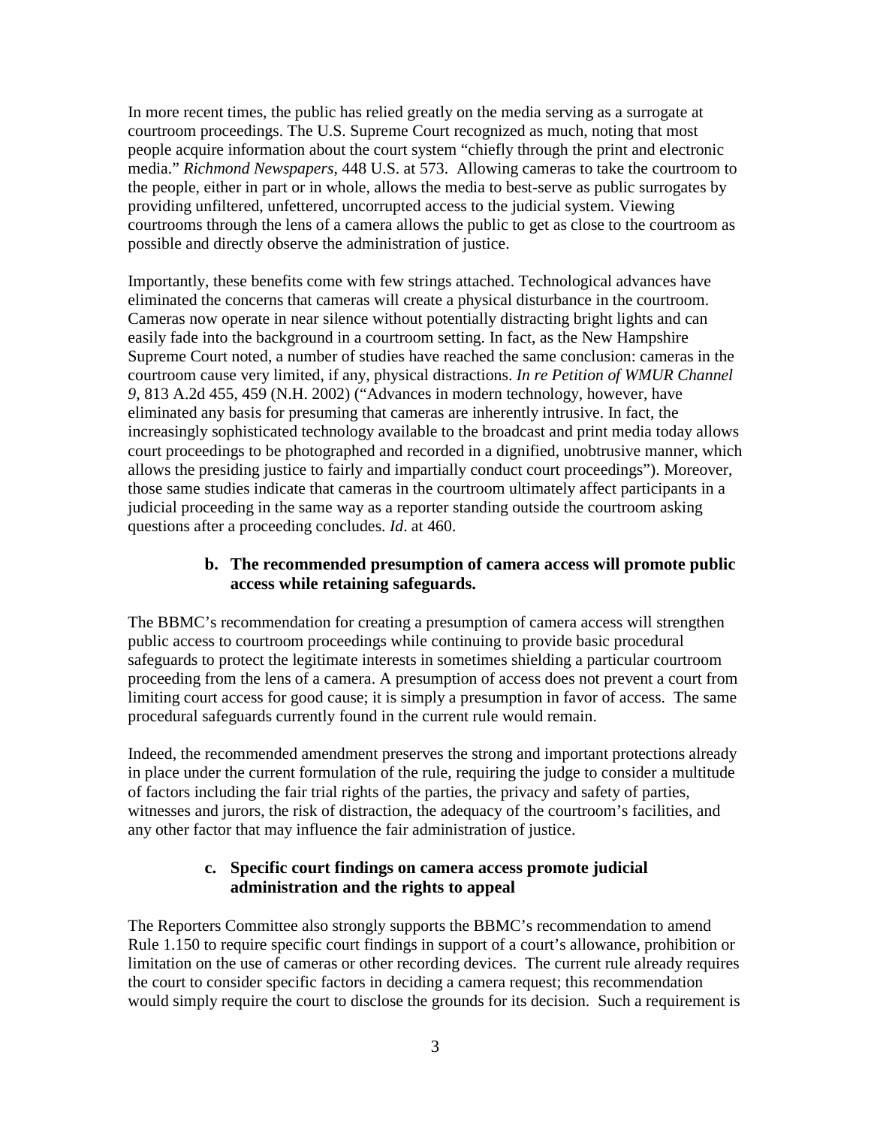In more recent times, the public has relied greatly on the media serving as a surrogate at courtroom proceedings. The U.S. Supreme Court recognized as much, noting that most people acquire information about the court system "chiefly through the print and electronic media." *Richmond Newspapers*, 448 U.S. at 573. Allowing cameras to take the courtroom to the people, either in part or in whole, allows the media to best-serve as public surrogates by providing unfiltered, unfettered, uncorrupted access to the judicial system. Viewing courtrooms through the lens of a camera allows the public to get as close to the courtroom as possible and directly observe the administration of justice.

Importantly, these benefits come with few strings attached. Technological advances have eliminated the concerns that cameras will create a physical disturbance in the courtroom. Cameras now operate in near silence without potentially distracting bright lights and can easily fade into the background in a courtroom setting. In fact, as the New Hampshire Supreme Court noted, a number of studies have reached the same conclusion: cameras in the courtroom cause very limited, if any, physical distractions. *In re Petition of WMUR Channel 9*, 813 A.2d 455, 459 (N.H. 2002) ("Advances in modern technology, however, have eliminated any basis for presuming that cameras are inherently intrusive. In fact, the increasingly sophisticated technology available to the broadcast and print media today allows court proceedings to be photographed and recorded in a dignified, unobtrusive manner, which allows the presiding justice to fairly and impartially conduct court proceedings"). Moreover, those same studies indicate that cameras in the courtroom ultimately affect participants in a judicial proceeding in the same way as a reporter standing outside the courtroom asking questions after a proceeding concludes. *Id*. at 460.

#### **b. The recommended presumption of camera access will promote public access while retaining safeguards.**

The BBMC's recommendation for creating a presumption of camera access will strengthen public access to courtroom proceedings while continuing to provide basic procedural safeguards to protect the legitimate interests in sometimes shielding a particular courtroom proceeding from the lens of a camera. A presumption of access does not prevent a court from limiting court access for good cause; it is simply a presumption in favor of access. The same procedural safeguards currently found in the current rule would remain.

Indeed, the recommended amendment preserves the strong and important protections already in place under the current formulation of the rule, requiring the judge to consider a multitude of factors including the fair trial rights of the parties, the privacy and safety of parties, witnesses and jurors, the risk of distraction, the adequacy of the courtroom's facilities, and any other factor that may influence the fair administration of justice.

### **c. Specific court findings on camera access promote judicial administration and the rights to appeal**

The Reporters Committee also strongly supports the BBMC's recommendation to amend Rule 1.150 to require specific court findings in support of a court's allowance, prohibition or limitation on the use of cameras or other recording devices. The current rule already requires the court to consider specific factors in deciding a camera request; this recommendation would simply require the court to disclose the grounds for its decision. Such a requirement is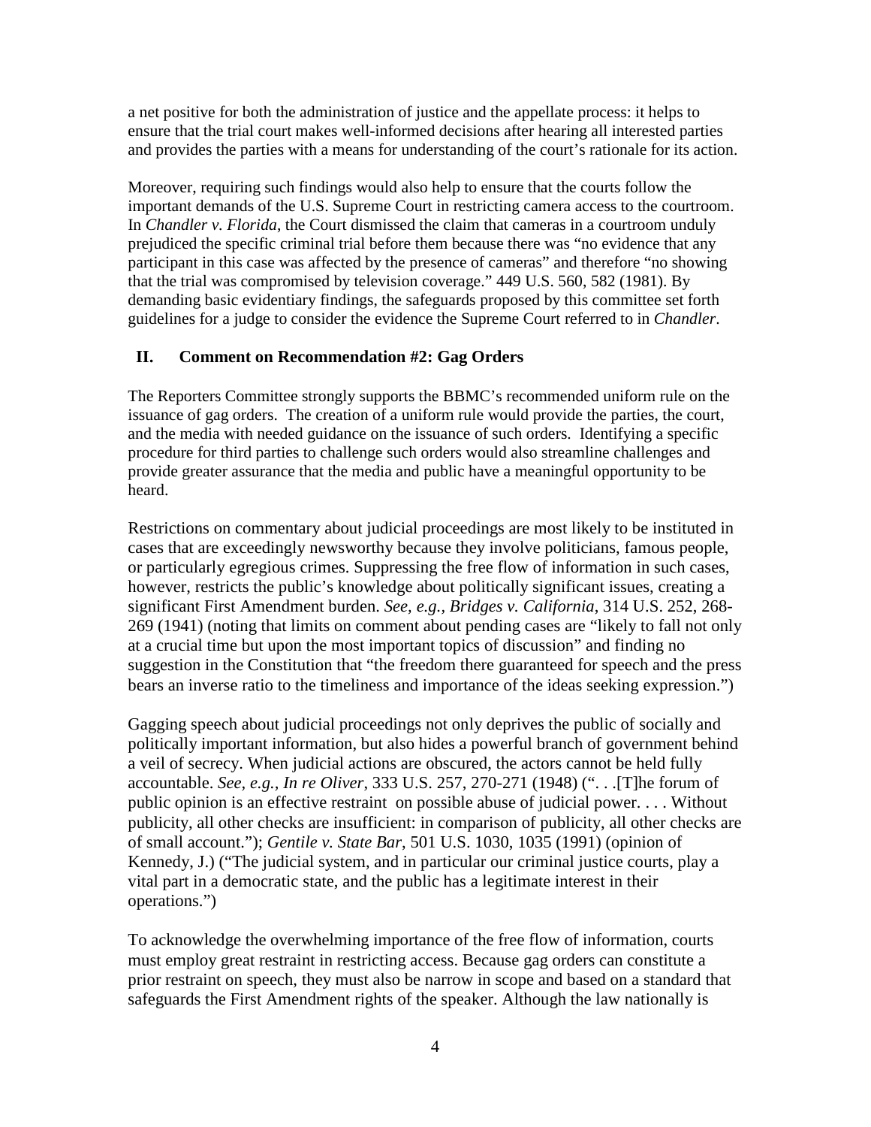a net positive for both the administration of justice and the appellate process: it helps to ensure that the trial court makes well-informed decisions after hearing all interested parties and provides the parties with a means for understanding of the court's rationale for its action.

Moreover, requiring such findings would also help to ensure that the courts follow the important demands of the U.S. Supreme Court in restricting camera access to the courtroom. In *Chandler v. Florida*, the Court dismissed the claim that cameras in a courtroom unduly prejudiced the specific criminal trial before them because there was "no evidence that any participant in this case was affected by the presence of cameras" and therefore "no showing that the trial was compromised by television coverage." 449 U.S. 560, 582 (1981). By demanding basic evidentiary findings, the safeguards proposed by this committee set forth guidelines for a judge to consider the evidence the Supreme Court referred to in *Chandler*.

## **II. Comment on Recommendation #2: Gag Orders**

The Reporters Committee strongly supports the BBMC's recommended uniform rule on the issuance of gag orders. The creation of a uniform rule would provide the parties, the court, and the media with needed guidance on the issuance of such orders. Identifying a specific procedure for third parties to challenge such orders would also streamline challenges and provide greater assurance that the media and public have a meaningful opportunity to be heard.

Restrictions on commentary about judicial proceedings are most likely to be instituted in cases that are exceedingly newsworthy because they involve politicians, famous people, or particularly egregious crimes. Suppressing the free flow of information in such cases, however, restricts the public's knowledge about politically significant issues, creating a significant First Amendment burden. *See, e.g., Bridges v. California*, 314 U.S. 252, 268- 269 (1941) (noting that limits on comment about pending cases are "likely to fall not only at a crucial time but upon the most important topics of discussion" and finding no suggestion in the Constitution that "the freedom there guaranteed for speech and the press bears an inverse ratio to the timeliness and importance of the ideas seeking expression.")

Gagging speech about judicial proceedings not only deprives the public of socially and politically important information, but also hides a powerful branch of government behind a veil of secrecy. When judicial actions are obscured, the actors cannot be held fully accountable. *See, e.g., In re Oliver*, 333 U.S. 257, 270-271 (1948) (". . .[T]he forum of public opinion is an effective restraint on possible abuse of judicial power. . . . Without publicity, all other checks are insufficient: in comparison of publicity, all other checks are of small account."); *Gentile v. State Bar*, 501 U.S. 1030, 1035 (1991) (opinion of Kennedy, J.) ("The judicial system, and in particular our criminal justice courts, play a vital part in a democratic state, and the public has a legitimate interest in their operations.")

To acknowledge the overwhelming importance of the free flow of information, courts must employ great restraint in restricting access. Because gag orders can constitute a prior restraint on speech, they must also be narrow in scope and based on a standard that safeguards the First Amendment rights of the speaker. Although the law nationally is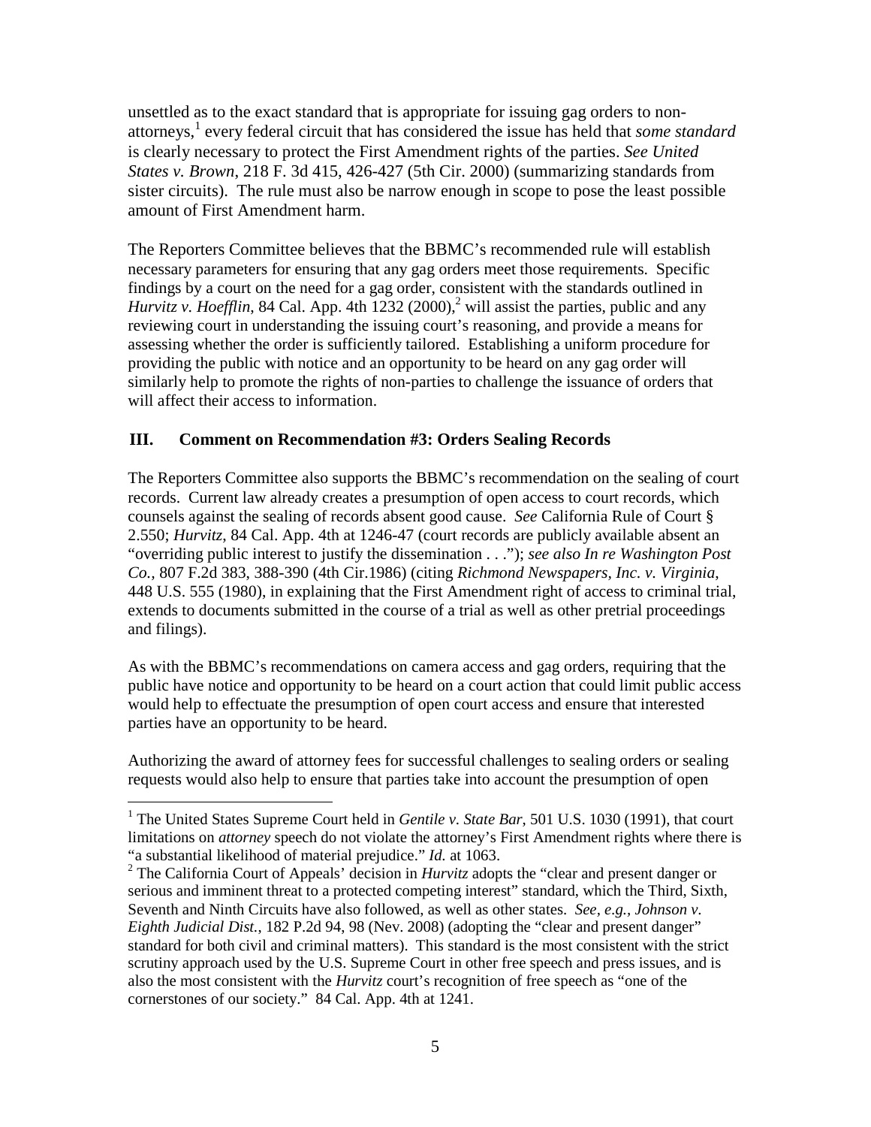unsettled as to the exact standard that is appropriate for issuing gag orders to nonattorneys,<sup>1</sup> every federal circuit that has considered the issue has held that *some standard* is clearly necessary to protect the First Amendment rights of the parties. *See United States v. Brown*, 218 F. 3d 415, 426-427 (5th Cir. 2000) (summarizing standards from sister circuits). The rule must also be narrow enough in scope to pose the least possible amount of First Amendment harm.

The Reporters Committee believes that the BBMC's recommended rule will establish necessary parameters for ensuring that any gag orders meet those requirements. Specific findings by a court on the need for a gag order, consistent with the standards outlined in *Hurvitz v. Hoefflin*, 84 Cal. App. 4th  $1232 (2000)$ ,<sup>2</sup> will assist the parties, public and any reviewing court in understanding the issuing court's reasoning, and provide a means for assessing whether the order is sufficiently tailored. Establishing a uniform procedure for providing the public with notice and an opportunity to be heard on any gag order will similarly help to promote the rights of non-parties to challenge the issuance of orders that will affect their access to information.

### **III. Comment on Recommendation #3: Orders Sealing Records**

The Reporters Committee also supports the BBMC's recommendation on the sealing of court records. Current law already creates a presumption of open access to court records, which counsels against the sealing of records absent good cause. *See* California Rule of Court § 2.550; *Hurvitz*, 84 Cal. App. 4th at 1246-47 (court records are publicly available absent an "overriding public interest to justify the dissemination . . ."); *see also In re Washington Post Co.,* 807 F.2d 383, 388-390 (4th Cir.1986) (citing *Richmond Newspapers, Inc. v. Virginia*, 448 U.S. 555 (1980), in explaining that the First Amendment right of access to criminal trial, extends to documents submitted in the course of a trial as well as other pretrial proceedings and filings).

As with the BBMC's recommendations on camera access and gag orders, requiring that the public have notice and opportunity to be heard on a court action that could limit public access would help to effectuate the presumption of open court access and ensure that interested parties have an opportunity to be heard.

Authorizing the award of attorney fees for successful challenges to sealing orders or sealing requests would also help to ensure that parties take into account the presumption of open

<u>.</u>

<sup>&</sup>lt;sup>1</sup> The United States Supreme Court held in *Gentile v. State Bar*, 501 U.S. 1030 (1991), that court limitations on *attorney* speech do not violate the attorney's First Amendment rights where there is "a substantial likelihood of material prejudice." *Id.* at 1063.

<sup>2</sup> The California Court of Appeals' decision in *Hurvitz* adopts the "clear and present danger or serious and imminent threat to a protected competing interest" standard, which the Third, Sixth, Seventh and Ninth Circuits have also followed, as well as other states. *See, e.g., Johnson v. Eighth Judicial Dist.*, 182 P.2d 94, 98 (Nev. 2008) (adopting the "clear and present danger" standard for both civil and criminal matters). This standard is the most consistent with the strict scrutiny approach used by the U.S. Supreme Court in other free speech and press issues, and is also the most consistent with the *Hurvitz* court's recognition of free speech as "one of the cornerstones of our society." 84 Cal. App. 4th at 1241.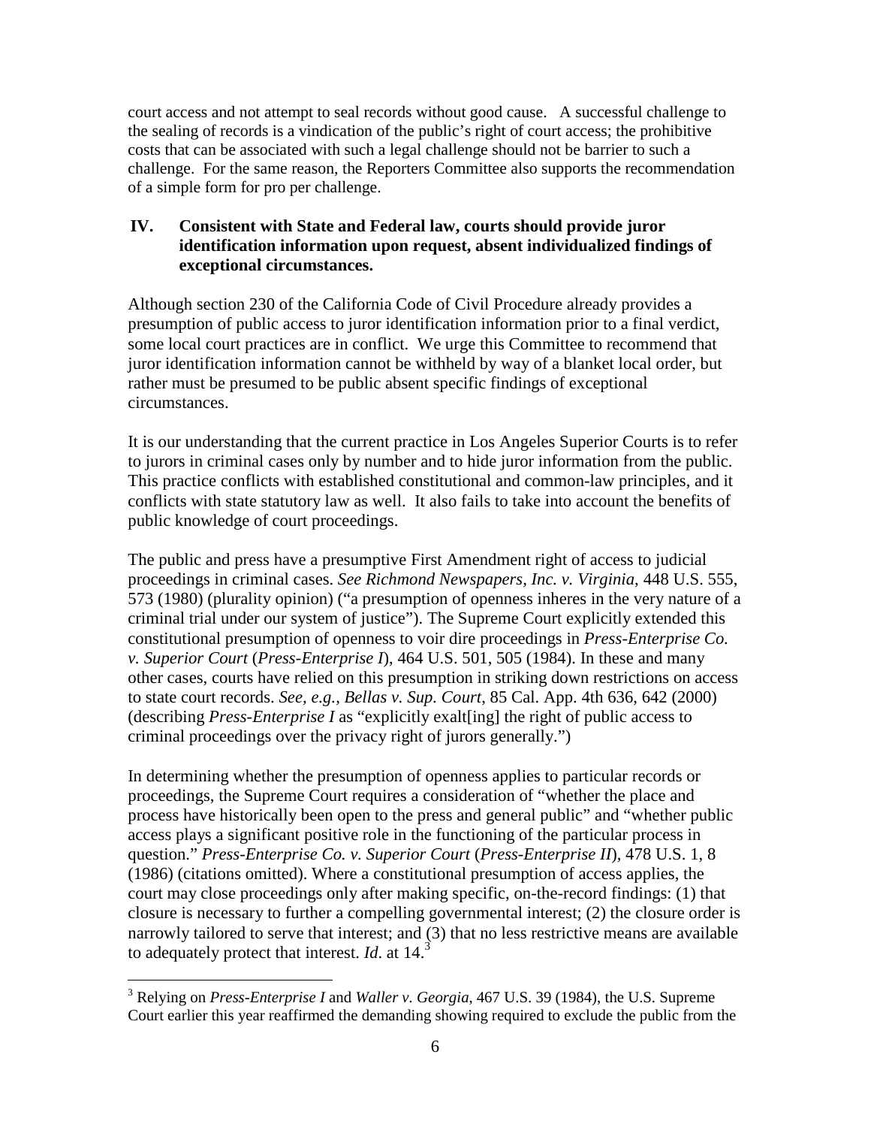court access and not attempt to seal records without good cause. A successful challenge to the sealing of records is a vindication of the public's right of court access; the prohibitive costs that can be associated with such a legal challenge should not be barrier to such a challenge. For the same reason, the Reporters Committee also supports the recommendation of a simple form for pro per challenge.

## **IV. Consistent with State and Federal law, courts should provide juror identification information upon request, absent individualized findings of exceptional circumstances.**

Although section 230 of the California Code of Civil Procedure already provides a presumption of public access to juror identification information prior to a final verdict, some local court practices are in conflict. We urge this Committee to recommend that juror identification information cannot be withheld by way of a blanket local order, but rather must be presumed to be public absent specific findings of exceptional circumstances.

It is our understanding that the current practice in Los Angeles Superior Courts is to refer to jurors in criminal cases only by number and to hide juror information from the public. This practice conflicts with established constitutional and common-law principles, and it conflicts with state statutory law as well. It also fails to take into account the benefits of public knowledge of court proceedings.

The public and press have a presumptive First Amendment right of access to judicial proceedings in criminal cases. *See Richmond Newspapers, Inc. v. Virginia*, 448 U.S. 555, 573 (1980) (plurality opinion) ("a presumption of openness inheres in the very nature of a criminal trial under our system of justice"). The Supreme Court explicitly extended this constitutional presumption of openness to voir dire proceedings in *Press-Enterprise Co. v. Superior Court* (*Press-Enterprise I*), 464 U.S. 501, 505 (1984). In these and many other cases, courts have relied on this presumption in striking down restrictions on access to state court records. *See, e.g., Bellas v. Sup. Court*, 85 Cal. App. 4th 636, 642 (2000) (describing *Press-Enterprise I* as "explicitly exalt[ing] the right of public access to criminal proceedings over the privacy right of jurors generally.")

In determining whether the presumption of openness applies to particular records or proceedings, the Supreme Court requires a consideration of "whether the place and process have historically been open to the press and general public" and "whether public access plays a significant positive role in the functioning of the particular process in question." *Press-Enterprise Co. v. Superior Court* (*Press-Enterprise II*), 478 U.S. 1, 8 (1986) (citations omitted). Where a constitutional presumption of access applies, the court may close proceedings only after making specific, on-the-record findings: (1) that closure is necessary to further a compelling governmental interest; (2) the closure order is narrowly tailored to serve that interest; and (3) that no less restrictive means are available to adequately protect that interest. *Id*. at 14.<sup>3</sup>

 $\overline{a}$ 3 Relying on *Press-Enterprise I* and *Waller v. Georgia*, 467 U.S. 39 (1984), the U.S. Supreme Court earlier this year reaffirmed the demanding showing required to exclude the public from the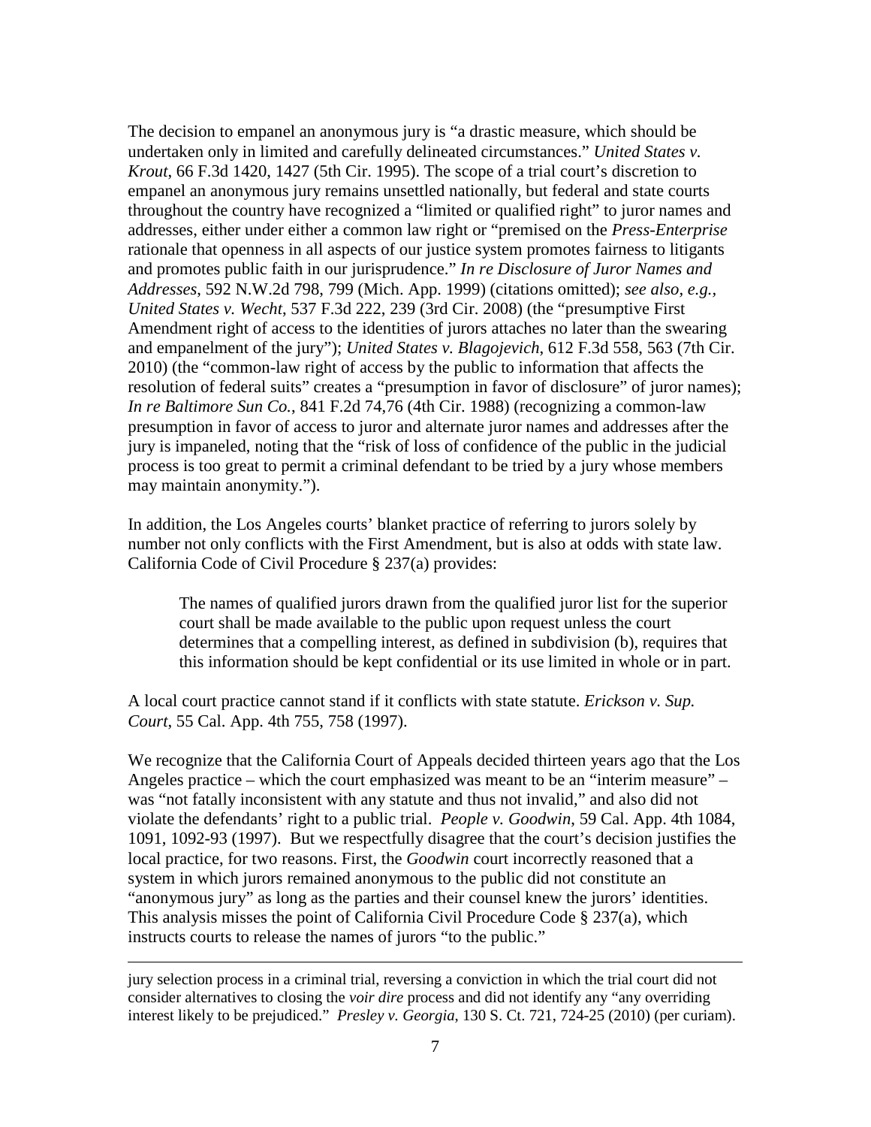The decision to empanel an anonymous jury is "a drastic measure, which should be undertaken only in limited and carefully delineated circumstances." *United States v. Krout*, 66 F.3d 1420, 1427 (5th Cir. 1995). The scope of a trial court's discretion to empanel an anonymous jury remains unsettled nationally, but federal and state courts throughout the country have recognized a "limited or qualified right" to juror names and addresses, either under either a common law right or "premised on the *Press-Enterprise*  rationale that openness in all aspects of our justice system promotes fairness to litigants and promotes public faith in our jurisprudence." *In re Disclosure of Juror Names and Addresses*, 592 N.W.2d 798, 799 (Mich. App. 1999) (citations omitted); *see also, e.g., United States v. Wecht*, 537 F.3d 222, 239 (3rd Cir. 2008) (the "presumptive First Amendment right of access to the identities of jurors attaches no later than the swearing and empanelment of the jury"); *United States v. Blagojevich*, 612 F.3d 558, 563 (7th Cir. 2010) (the "common-law right of access by the public to information that affects the resolution of federal suits" creates a "presumption in favor of disclosure" of juror names); *In re Baltimore Sun Co.*, 841 F.2d 74,76 (4th Cir. 1988) (recognizing a common-law presumption in favor of access to juror and alternate juror names and addresses after the jury is impaneled, noting that the "risk of loss of confidence of the public in the judicial process is too great to permit a criminal defendant to be tried by a jury whose members may maintain anonymity.").

In addition, the Los Angeles courts' blanket practice of referring to jurors solely by number not only conflicts with the First Amendment, but is also at odds with state law. California Code of Civil Procedure § 237(a) provides:

The names of qualified jurors drawn from the qualified juror list for the superior court shall be made available to the public upon request unless the court determines that a compelling interest, as defined in subdivision (b), requires that this information should be kept confidential or its use limited in whole or in part.

A local court practice cannot stand if it conflicts with state statute. *Erickson v. Sup. Court*, 55 Cal. App. 4th 755, 758 (1997).

We recognize that the California Court of Appeals decided thirteen years ago that the Los Angeles practice – which the court emphasized was meant to be an "interim measure" – was "not fatally inconsistent with any statute and thus not invalid," and also did not violate the defendants' right to a public trial. *People v. Goodwin*, 59 Cal. App. 4th 1084, 1091, 1092-93 (1997). But we respectfully disagree that the court's decision justifies the local practice, for two reasons. First, the *Goodwin* court incorrectly reasoned that a system in which jurors remained anonymous to the public did not constitute an "anonymous jury" as long as the parties and their counsel knew the jurors' identities. This analysis misses the point of California Civil Procedure Code § 237(a), which instructs courts to release the names of jurors "to the public."

 $\overline{a}$ 

jury selection process in a criminal trial, reversing a conviction in which the trial court did not consider alternatives to closing the *voir dire* process and did not identify any "any overriding interest likely to be prejudiced." *Presley v. Georgia*, 130 S. Ct. 721, 724-25 (2010) (per curiam).